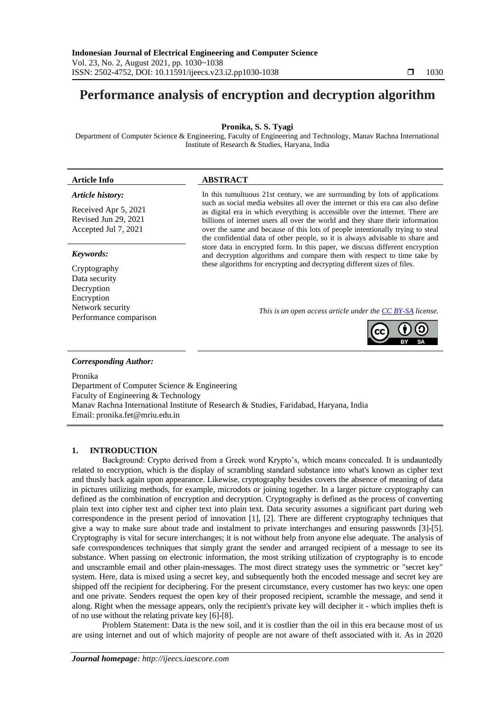# **Performance analysis of encryption and decryption algorithm**

**Pronika, S. S. Tyagi**

Department of Computer Science & Engineering, Faculty of Engineering and Technology, Manav Rachna International Institute of Research & Studies, Haryana, India

## **Article Info ABSTRACT**

#### *Article history:*

Received Apr 5, 2021 Revised Jun 29, 2021 Accepted Jul 7, 2021

#### *Keywords:*

Cryptography Data security Decryption Encryption Network security Performance comparison In this tumultuous 21st century, we are surrounding by lots of applications such as social media websites all over the internet or this era can also define as digital era in which everything is accessible over the internet. There are billions of internet users all over the world and they share their information over the same and because of this lots of people intentionally trying to steal the confidential data of other people, so it is always advisable to share and store data in encrypted form. In this paper, we discuss different encryption and decryption algorithms and compare them with respect to time take by these algorithms for encrypting and decrypting different sizes of files.

*This is an open access article under the [CC BY-SA](https://creativecommons.org/licenses/by-sa/4.0/) license.*



#### *Corresponding Author:*

Pronika Department of Computer Science & Engineering Faculty of Engineering & Technology Manav Rachna International Institute of Research & Studies, Faridabad, Haryana, India Email: pronika.fet@mriu.edu.in

#### **1. INTRODUCTION**

Background: Crypto derived from a Greek word Krypto's, which means concealed. It is undauntedly related to encryption, which is the display of scrambling standard substance into what's known as cipher text and thusly back again upon appearance. Likewise, cryptography besides covers the absence of meaning of data in pictures utilizing methods, for example, microdots or joining together. In a larger picture cryptography can defined as the combination of encryption and decryption. Cryptography is defined as the process of converting plain text into cipher text and cipher text into plain text. Data security assumes a significant part during web correspondence in the present period of innovation [1], [2]. There are different cryptography techniques that give a way to make sure about trade and instalment to private interchanges and ensuring passwords [3]-[5]. Cryptography is vital for secure interchanges; it is not without help from anyone else adequate. The analysis of safe correspondences techniques that simply grant the sender and arranged recipient of a message to see its substance. When passing on electronic information, the most striking utilization of cryptography is to encode and unscramble email and other plain-messages. The most direct strategy uses the symmetric or "secret key" system. Here, data is mixed using a secret key, and subsequently both the encoded message and secret key are shipped off the recipient for deciphering. For the present circumstance, every customer has two keys: one open and one private. Senders request the open key of their proposed recipient, scramble the message, and send it along. Right when the message appears, only the recipient's private key will decipher it - which implies theft is of no use without the relating private key [6]-[8].

Problem Statement: Data is the new soil, and it is costlier than the oil in this era because most of us are using internet and out of which majority of people are not aware of theft associated with it. As in 2020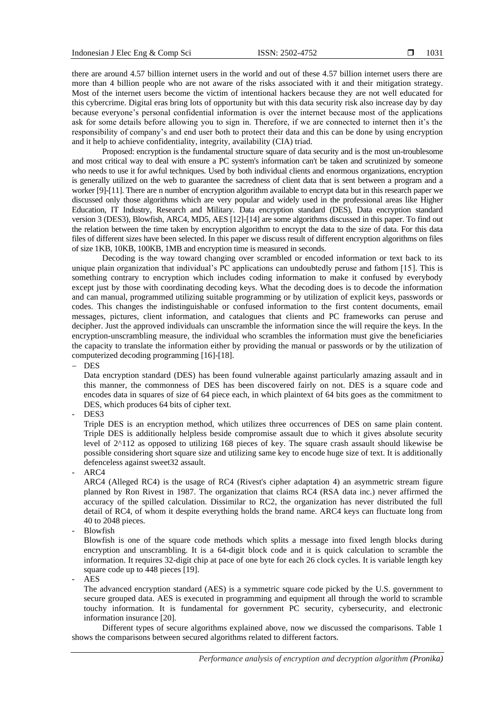there are around 4.57 billion internet users in the world and out of these 4.57 billion internet users there are more than 4 billion people who are not aware of the risks associated with it and their mitigation strategy. Most of the internet users become the victim of intentional hackers because they are not well educated for this cybercrime. Digital eras bring lots of opportunity but with this data security risk also increase day by day because everyone's personal confidential information is over the internet because most of the applications ask for some details before allowing you to sign in. Therefore, if we are connected to internet then it's the responsibility of company's and end user both to protect their data and this can be done by using encryption and it help to achieve confidentiality, integrity, availability (CIA) triad.

Proposed: encryption is the fundamental structure square of data security and is the most un-troublesome and most critical way to deal with ensure a PC system's information can't be taken and scrutinized by someone who needs to use it for awful techniques. Used by both individual clients and enormous organizations, encryption is generally utilized on the web to guarantee the sacredness of client data that is sent between a program and a worker [9]-[11]. There are n number of encryption algorithm available to encrypt data but in this research paper we discussed only those algorithms which are very popular and widely used in the professional areas like Higher Education, IT Industry, Research and Military. Data encryption standard (DES), Data encryption standard version 3 (DES3), Blowfish, ARC4, MD5, AES [12]-[14] are some algorithms discussed in this paper. To find out the relation between the time taken by encryption algorithm to encrypt the data to the size of data. For this data files of different sizes have been selected. In this paper we discuss result of different encryption algorithms on files of size 1KB, 10KB, 100KB, 1MB and encryption time is measured in seconds.

Decoding is the way toward changing over scrambled or encoded information or text back to its unique plain organization that individual's PC applications can undoubtedly peruse and fathom [15]. This is something contrary to encryption which includes coding information to make it confused by everybody except just by those with coordinating decoding keys. What the decoding does is to decode the information and can manual, programmed utilizing suitable programming or by utilization of explicit keys, passwords or codes. This changes the indistinguishable or confused information to the first content documents, email messages, pictures, client information, and catalogues that clients and PC frameworks can peruse and decipher. Just the approved individuals can unscramble the information since the will require the keys. In the encryption-unscrambling measure, the individual who scrambles the information must give the beneficiaries the capacity to translate the information either by providing the manual or passwords or by the utilization of computerized decoding programming [16]-[18].

− DES

Data encryption standard (DES) has been found vulnerable against particularly amazing assault and in this manner, the commonness of DES has been discovered fairly on not. DES is a square code and encodes data in squares of size of 64 piece each, in which plaintext of 64 bits goes as the commitment to DES, which produces 64 bits of cipher text.

DES<sub>3</sub>

Triple DES is an encryption method, which utilizes three occurrences of DES on same plain content. Triple DES is additionally helpless beside compromise assault due to which it gives absolute security level of 2^112 as opposed to utilizing 168 pieces of key. The square crash assault should likewise be possible considering short square size and utilizing same key to encode huge size of text. It is additionally defenceless against sweet32 assault.

ARC4

ARC4 (Alleged RC4) is the usage of RC4 (Rivest's cipher adaptation 4) an asymmetric stream figure planned by Ron Rivest in 1987. The organization that claims RC4 (RSA data inc.) never affirmed the accuracy of the spilled calculation. Dissimilar to RC2, the organization has never distributed the full detail of RC4, of whom it despite everything holds the brand name. ARC4 keys can fluctuate long from 40 to 2048 pieces.

- Blowfish

Blowfish is one of the square code methods which splits a message into fixed length blocks during encryption and unscrambling. It is a 64-digit block code and it is quick calculation to scramble the information. It requires 32-digit chip at pace of one byte for each 26 clock cycles. It is variable length key square code up to 448 pieces [19].

- AES

The advanced encryption standard (AES) is a symmetric square code picked by the U.S. government to secure grouped data. AES is executed in programming and equipment all through the world to scramble touchy information. It is fundamental for government PC security, cybersecurity, and electronic information insurance [20].

Different types of secure algorithms explained above, now we discussed the comparisons. Table 1 shows the comparisons between secured algorithms related to different factors.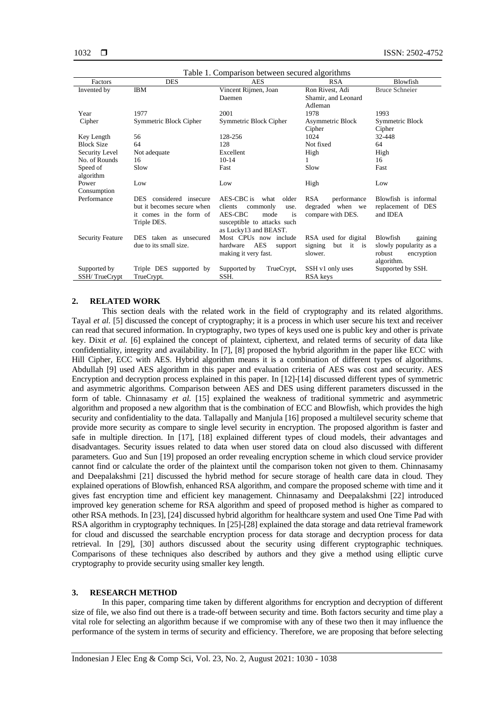| Table 1. Comparison between secured algorithms |                             |                                   |                           |                        |
|------------------------------------------------|-----------------------------|-----------------------------------|---------------------------|------------------------|
| Factors                                        | <b>DES</b>                  | <b>AES</b>                        | <b>RSA</b>                | Blowfish               |
| Invented by                                    | <b>IBM</b>                  | Vincent Rijmen, Joan              | Ron Rivest, Adi           | <b>Bruce Schneier</b>  |
|                                                |                             | Daemen                            | Shamir, and Leonard       |                        |
|                                                |                             |                                   | Adleman                   |                        |
| Year                                           | 1977                        | 2001                              | 1978                      | 1993                   |
| Cipher                                         | Symmetric Block Cipher      | Symmetric Block Cipher            | Asymmetric Block          | Symmetric Block        |
|                                                |                             |                                   | Cipher                    | Cipher                 |
| Key Length                                     | 56                          | 128-256                           | 1024                      | 32-448                 |
| <b>Block Size</b>                              | 64                          | 128                               | Not fixed                 | 64                     |
| Security Level                                 | Not adequate                | Excellent                         | High                      | High                   |
| No. of Rounds                                  | 16                          | $10-14$                           | 1                         | 16                     |
| Speed of                                       | Slow                        | Fast                              | Slow                      | Fast                   |
| algorithm                                      |                             |                                   |                           |                        |
| Power                                          | Low                         | Low                               | High                      | Low                    |
| Consumption                                    |                             |                                   |                           |                        |
| Performance                                    | considered insecure<br>DES. | AES-CBC is<br>older<br>what       | <b>RSA</b><br>performance | Blowfish is informal   |
|                                                | but it becomes secure when  | clients<br>commonly<br>use.       | degraded<br>when we       | replacement of DES     |
|                                                | it comes in the form of     | AES-CBC<br>mode<br>is             | compare with DES.         | and IDEA               |
|                                                | Triple DES.                 | susceptible to attacks such       |                           |                        |
|                                                |                             | as Lucky13 and BEAST.             |                           |                        |
| <b>Security Feature</b>                        | DES taken as unsecured      | Most CPUs now include             | RSA used for digital      | Blowfish<br>gaining    |
|                                                | due to its small size.      | <b>AES</b><br>hardware<br>support | but it is<br>signing      | slowly popularity as a |
|                                                |                             | making it very fast.              | slower.                   | robust<br>encryption   |
|                                                |                             |                                   |                           | algorithm.             |
| Supported by                                   | Triple DES supported by     | Supported by<br>TrueCrypt,        | SSH v1 only uses          | Supported by SSH.      |
| SSH/TrueCrypt                                  | TrueCrypt.                  | SSH.                              | RSA keys                  |                        |

#### **2. RELATED WORK**

This section deals with the related work in the field of cryptography and its related algorithms. Tayal *et al.* [5] discussed the concept of cryptography; it is a process in which user secure his text and receiver can read that secured information. In cryptography, two types of keys used one is public key and other is private key. Dixit *et al.* [6] explained the concept of plaintext, ciphertext, and related terms of security of data like confidentiality, integrity and availability. In [7], [8] proposed the hybrid algorithm in the paper like ECC with Hill Cipher, ECC with AES. Hybrid algorithm means it is a combination of different types of algorithms. Abdullah [9] used AES algorithm in this paper and evaluation criteria of AES was cost and security. AES Encryption and decryption process explained in this paper. In [12]-[14] discussed different types of symmetric and asymmetric algorithms. Comparison between AES and DES using different parameters discussed in the form of table. Chinnasamy *et al.* [15] explained the weakness of traditional symmetric and asymmetric algorithm and proposed a new algorithm that is the combination of ECC and Blowfish, which provides the high security and confidentiality to the data. Tallapally and Manjula [16] proposed a multilevel security scheme that provide more security as compare to single level security in encryption. The proposed algorithm is faster and safe in multiple direction. In [17], [18] explained different types of cloud models, their advantages and disadvantages. Security issues related to data when user stored data on cloud also discussed with different parameters. Guo and Sun [19] proposed an order revealing encryption scheme in which cloud service provider cannot find or calculate the order of the plaintext until the comparison token not given to them. Chinnasamy and Deepalakshmi [21] discussed the hybrid method for secure storage of health care data in cloud. They explained operations of Blowfish, enhanced RSA algorithm, and compare the proposed scheme with time and it gives fast encryption time and efficient key management. Chinnasamy and Deepalakshmi [22] introduced improved key generation scheme for RSA algorithm and speed of proposed method is higher as compared to other RSA methods. In [23], [24] discussed hybrid algorithm for healthcare system and used One Time Pad with RSA algorithm in cryptography techniques. In [25]-[28] explained the data storage and data retrieval framework for cloud and discussed the searchable encryption process for data storage and decryption process for data retrieval. In [29], [30] authors discussed about the security using different cryptographic techniques. Comparisons of these techniques also described by authors and they give a method using elliptic curve cryptography to provide security using smaller key length.

#### **3. RESEARCH METHOD**

In this paper, comparing time taken by different algorithms for encryption and decryption of different size of file, we also find out there is a trade-off between security and time. Both factors security and time play a vital role for selecting an algorithm because if we compromise with any of these two then it may influence the performance of the system in terms of security and efficiency. Therefore, we are proposing that before selecting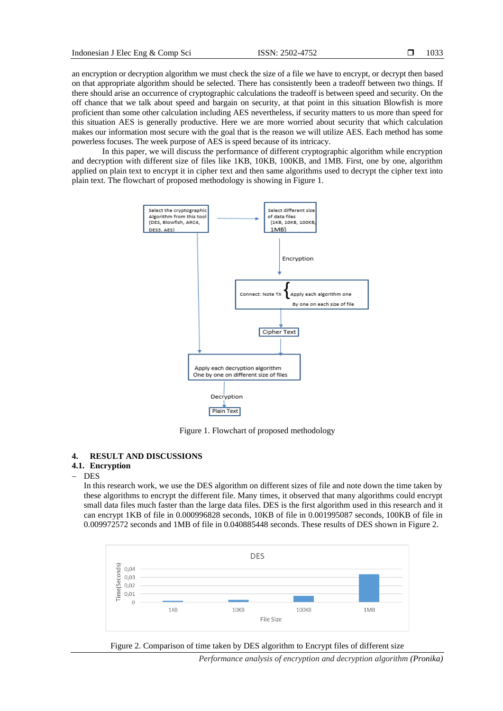an encryption or decryption algorithm we must check the size of a file we have to encrypt, or decrypt then based on that appropriate algorithm should be selected. There has consistently been a tradeoff between two things. If there should arise an occurrence of cryptographic calculations the tradeoff is between speed and security. On the off chance that we talk about speed and bargain on security, at that point in this situation Blowfish is more proficient than some other calculation including AES nevertheless, if security matters to us more than speed for this situation AES is generally productive. Here we are more worried about security that which calculation makes our information most secure with the goal that is the reason we will utilize AES. Each method has some powerless focuses. The week purpose of AES is speed because of its intricacy.

In this paper, we will discuss the performance of different cryptographic algorithm while encryption and decryption with different size of files like 1KB, 10KB, 100KB, and 1MB. First, one by one, algorithm applied on plain text to encrypt it in cipher text and then same algorithms used to decrypt the cipher text into plain text. The flowchart of proposed methodology is showing in Figure 1.



Figure 1. Flowchart of proposed methodology

#### **4. RESULT AND DISCUSSIONS**

### **4.1. Encryption**

− DES

In this research work, we use the DES algorithm on different sizes of file and note down the time taken by these algorithms to encrypt the different file. Many times, it observed that many algorithms could encrypt small data files much faster than the large data files. DES is the first algorithm used in this research and it can encrypt 1KB of file in 0.000996828 seconds, 10KB of file in 0.001995087 seconds, 100KB of file in 0.009972572 seconds and 1MB of file in 0.040885448 seconds. These results of DES shown in Figure 2.



Figure 2. Comparison of time taken by DES algorithm to Encrypt files of different size

*Performance analysis of encryption and decryption algorithm (Pronika)*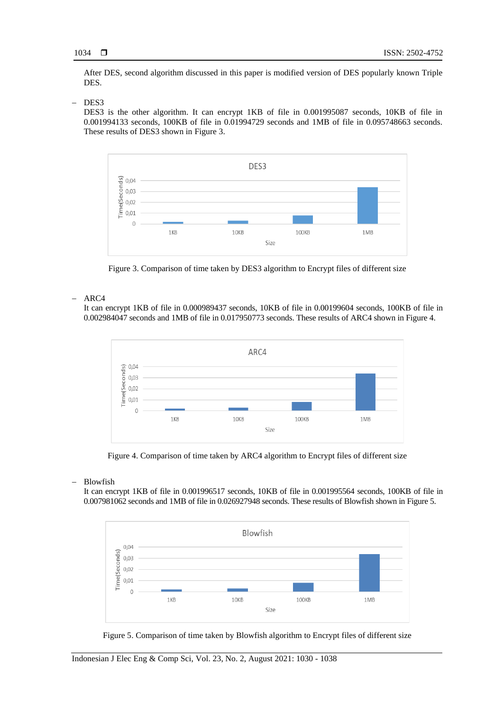After DES, second algorithm discussed in this paper is modified version of DES popularly known Triple DES.

#### DES<sub>3</sub>

DES3 is the other algorithm. It can encrypt 1KB of file in 0.001995087 seconds, 10KB of file in 0.001994133 seconds, 100KB of file in 0.01994729 seconds and 1MB of file in 0.095748663 seconds. These results of DES3 shown in Figure 3.



Figure 3. Comparison of time taken by DES3 algorithm to Encrypt files of different size

#### − ARC4

It can encrypt 1KB of file in 0.000989437 seconds, 10KB of file in 0.00199604 seconds, 100KB of file in 0.002984047 seconds and 1MB of file in 0.017950773 seconds. These results of ARC4 shown in Figure 4.



Figure 4. Comparison of time taken by ARC4 algorithm to Encrypt files of different size

− Blowfish

It can encrypt 1KB of file in 0.001996517 seconds, 10KB of file in 0.001995564 seconds, 100KB of file in 0.007981062 seconds and 1MB of file in 0.026927948 seconds. These results of Blowfish shown in Figure 5.



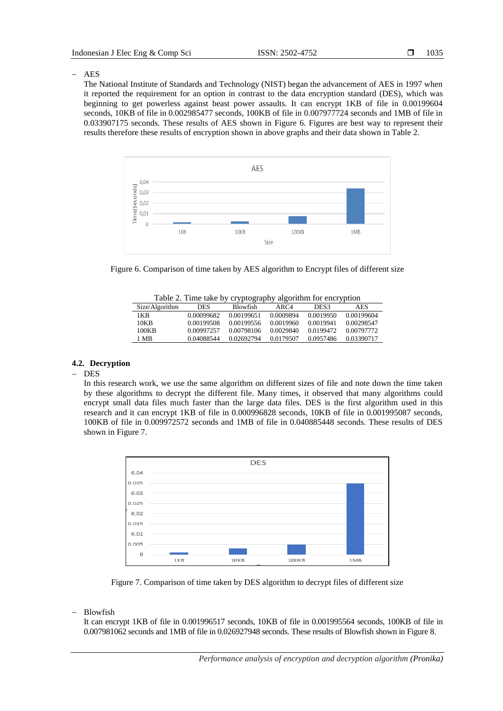− AES

The National Institute of Standards and Technology (NIST) began the advancement of AES in 1997 when it reported the requirement for an option in contrast to the data encryption standard (DES), which was beginning to get powerless against beast power assaults. It can encrypt 1KB of file in 0.00199604 seconds, 10KB of file in 0.002985477 seconds, 100KB of file in 0.007977724 seconds and 1MB of file in 0.033907175 seconds. These results of AES shown in Figure 6. Figures are best way to represent their results therefore these results of encryption shown in above graphs and their data shown in Table 2.



Figure 6. Comparison of time taken by AES algorithm to Encrypt files of different size

|  |  |  |  | Table 2. Time take by cryptography algorithm for encryption |
|--|--|--|--|-------------------------------------------------------------|
|--|--|--|--|-------------------------------------------------------------|

|                |            | .               | $\sim$ $\sim$ |           |            |
|----------------|------------|-----------------|---------------|-----------|------------|
| Size/Algorithm | DES.       | <b>Blowfish</b> | ARC4          | DES3      | AES        |
| 1KB            | 0.00099682 | 0.00199651      | 0.0009894     | 0.0019950 | 0.00199604 |
| 10KB           | 0.00199508 | 0.00199556      | 0.0019960     | 0.0019941 | 0.00298547 |
| 100KB          | 0.00997257 | 0.00798106      | 0.0029840     | 0.0199472 | 0.00797772 |
| 1 MB           | 0.04088544 | 0.02692794      | 0.0179507     | 0.0957486 | 0.03390717 |
|                |            |                 |               |           |            |

#### **4.2. Decryption**

#### − DES

In this research work, we use the same algorithm on different sizes of file and note down the time taken by these algorithms to decrypt the different file. Many times, it observed that many algorithms could encrypt small data files much faster than the large data files. DES is the first algorithm used in this research and it can encrypt 1KB of file in 0.000996828 seconds, 10KB of file in 0.001995087 seconds, 100KB of file in 0.009972572 seconds and 1MB of file in 0.040885448 seconds. These results of DES shown in Figure 7.



Figure 7. Comparison of time taken by DES algorithm to decrypt files of different size

− Blowfish

It can encrypt 1KB of file in 0.001996517 seconds, 10KB of file in 0.001995564 seconds, 100KB of file in 0.007981062 seconds and 1MB of file in 0.026927948 seconds. These results of Blowfish shown in Figure 8.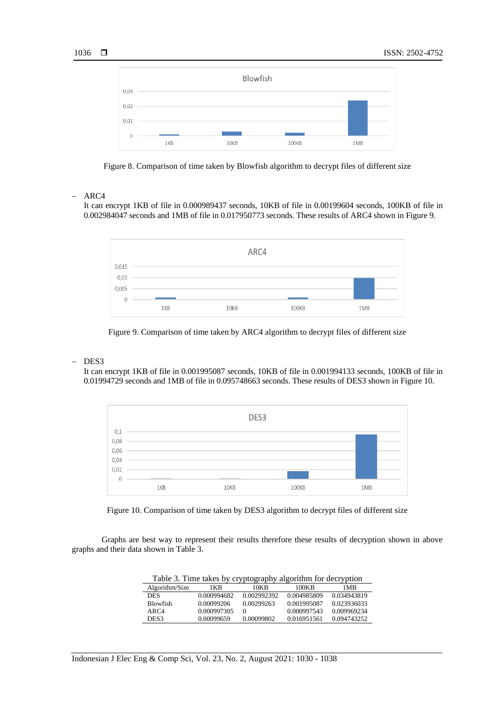



#### − ARC4

It can encrypt 1KB of file in 0.000989437 seconds, 10KB of file in 0.00199604 seconds, 100KB of file in 0.002984047 seconds and 1MB of file in 0.017950773 seconds. These results of ARC4 shown in Figure 9.



Figure 9. Comparison of time taken by ARC4 algorithm to decrypt files of different size

#### DES<sub>3</sub>

It can encrypt 1KB of file in 0.001995087 seconds, 10KB of file in 0.001994133 seconds, 100KB of file in 0.01994729 seconds and 1MB of file in 0.095748663 seconds. These results of DES3 shown in Figure 10.





Graphs are best way to represent their results therefore these results of decryption shown in above graphs and their data shown in Table 3.

| Table 3. Time takes by cryptography algorithm for decryption |             |             |             |             |
|--------------------------------------------------------------|-------------|-------------|-------------|-------------|
| Algorithm/Size                                               | 1 K B       | 10KB        | 100KB       | 1 MB        |
| DES                                                          | 0.000994682 | 0.002992392 | 0.004985809 | 0.034943819 |
| <b>Blowfish</b>                                              | 0.00099206  | 0.00299263  | 0.001995087 | 0.023936033 |
| ARC4                                                         | 0.000997305 |             | 0.000997543 | 0.009969234 |
| DES3                                                         | 0.00099659  | 0.00099802  | 0.016951561 | 0.094743252 |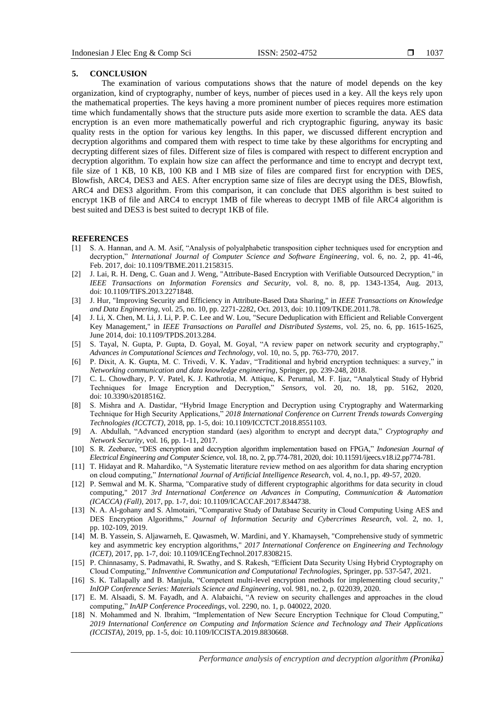#### **5. CONCLUSION**

The examination of various computations shows that the nature of model depends on the key organization, kind of cryptography, number of keys, number of pieces used in a key. All the keys rely upon the mathematical properties. The keys having a more prominent number of pieces requires more estimation time which fundamentally shows that the structure puts aside more exertion to scramble the data. AES data encryption is an even more mathematically powerful and rich cryptographic figuring, anyway its basic quality rests in the option for various key lengths. In this paper, we discussed different encryption and decryption algorithms and compared them with respect to time take by these algorithms for encrypting and decrypting different sizes of files. Different size of files is compared with respect to different encryption and decryption algorithm. To explain how size can affect the performance and time to encrypt and decrypt text, file size of 1 KB, 10 KB, 100 KB and I MB size of files are compared first for encryption with DES, Blowfish, ARC4, DES3 and AES. After encryption same size of files are decrypt using the DES, Blowfish, ARC4 and DES3 algorithm. From this comparison, it can conclude that DES algorithm is best suited to encrypt 1KB of file and ARC4 to encrypt 1MB of file whereas to decrypt 1MB of file ARC4 algorithm is best suited and DES3 is best suited to decrypt 1KB of file.

#### **REFERENCES**

- [1] S. A. Hannan, and A. M. Asif, "Analysis of polyalphabetic transposition cipher techniques used for encryption and decryption," *International Journal of Computer Science and Software Engineering*, vol. 6, no. 2, pp. 41-46, Feb. 2017, doi: 10.1109/TBME.2011.2158315.
- [2] J. Lai, R. H. Deng, C. Guan and J. Weng, "Attribute-Based Encryption with Verifiable Outsourced Decryption," in *IEEE Transactions on Information Forensics and Security*, vol. 8, no. 8, pp. 1343-1354, Aug. 2013, doi: 10.1109/TIFS.2013.2271848.
- [3] J. Hur, "Improving Security and Efficiency in Attribute-Based Data Sharing," in *IEEE Transactions on Knowledge and Data Engineering*, vol. 25, no. 10, pp. 2271-2282, Oct. 2013, doi: 10.1109/TKDE.2011.78.
- [4] J. Li, X. Chen, M. Li, J. Li, P. P. C. Lee and W. Lou, "Secure Deduplication with Efficient and Reliable Convergent Key Management," in *IEEE Transactions on Parallel and Distributed Systems*, vol. 25, no. 6, pp. 1615-1625, June 2014, doi: 10.1109/TPDS.2013.284.
- [5] S. Tayal, N. Gupta, P. Gupta, D. Goyal, M. Goyal, "A review paper on network security and cryptography," *Advances in Computational Sciences and Technology*, vol. 10, no. 5, pp. 763-770, 2017.
- [6] P. Dixit, A. K. Gupta, M. C. Trivedi, V. K. Yadav, "Traditional and hybrid encryption techniques: a survey," in *Networking communication and data knowledge engineering*, Springer, pp. 239-248, 2018.
- [7] C. L. Chowdhary, P. V. Patel, K. J. Kathrotia, M. Attique, K. Perumal, M. F. Ijaz, "Analytical Study of Hybrid Techniques for Image Encryption and Decryption," *Sensors*, vol. 20, no. 18, pp. 5162, 2020, doi: 10.3390/s20185162.
- [8] S. Mishra and A. Dastidar, "Hybrid Image Encryption and Decryption using Cryptography and Watermarking Technique for High Security Applications," *2018 International Conference on Current Trends towards Converging Technologies (ICCTCT)*, 2018, pp. 1-5, doi: 10.1109/ICCTCT.2018.8551103.
- [9] A. Abdullah, "Advanced encryption standard (aes) algorithm to encrypt and decrypt data," *Cryptography and Network Security*, vol. 16, pp. 1-11, 2017.
- [10] S. R. Zeebaree, "DES encryption and decryption algorithm implementation based on FPGA," *Indonesian Journal of Electrical Engineering and Computer Science*, vol. 18, no. 2, pp.774-781, 2020, doi: 10.11591/ijeecs.v18.i2.pp774-781.
- [11] T. Hidayat and R. Mahardiko, "A Systematic literature review method on aes algorithm for data sharing encryption on cloud computing," *International Journal of Artificial Intelligence Research*, vol. 4, no.1, pp. 49-57, 2020.
- [12] P. Semwal and M. K. Sharma, "Comparative study of different cryptographic algorithms for data security in cloud computing," 2017 *3rd International Conference on Advances in Computing, Communication & Automation (ICACCA) (Fall)*, 2017, pp. 1-7, doi: 10.1109/ICACCAF.2017.8344738.
- [13] N. A. Al-gohany and S. Almotairi, "Comparative Study of Database Security in Cloud Computing Using AES and DES Encryption Algorithms," *Journal of Information Security and Cybercrimes Research*, vol. 2, no. 1, pp. 102-109, 2019.
- [14] M. B. Yassein, S. Aljawarneh, E. Qawasmeh, W. Mardini, and Y. Khamayseh, "Comprehensive study of symmetric key and asymmetric key encryption algorithms," *2017 International Conference on Engineering and Technology (ICET)*, 2017, pp. 1-7, doi: 10.1109/ICEngTechnol.2017.8308215.
- [15] P. Chinnasamy, S. Padmavathi, R. Swathy, and S. Rakesh, "Efficient Data Security Using Hybrid Cryptography on Cloud Computing," *InInventive Communication and Computational Technologies*, Springer, pp. 537-547, 2021.
- [16] S. K. Tallapally and B. Manjula, "Competent multi-level encryption methods for implementing cloud security*,*" *InIOP Conference Series: Materials Science and Engineering*, vol. 981, no. 2, p. 022039, 2020.
- [17] E. M. Alsaadi, S. M. Fayadh, and A. Alabaichi, "A review on security challenges and approaches in the cloud computing," *InAIP Conference Proceedings*, vol. 2290, no. 1, p. 040022, 2020.
- [18] N. Mohammed and N. Ibrahim, "Implementation of New Secure Encryption Technique for Cloud Computing," *2019 International Conference on Computing and Information Science and Technology and Their Applications (ICCISTA)*, 2019, pp. 1-5, doi: 10.1109/ICCISTA.2019.8830668.